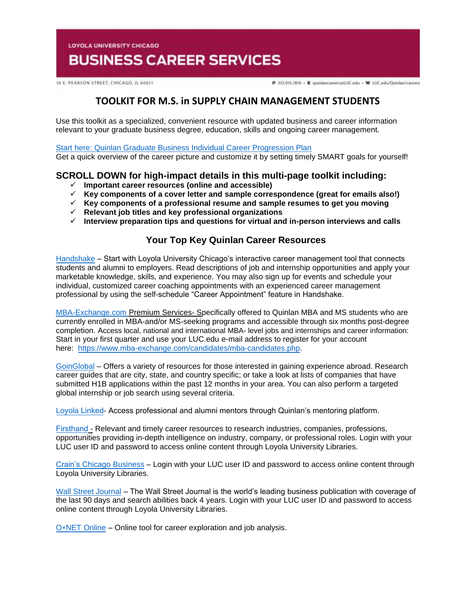**LOYOLA UNIVERSITY CHICAGO** 

# **BUSINESS CAREER SERVICES**

16 E. PEARSON STREET, CHICAGO, IL 60611

P 312.915.7810 - E quinlancareers@LUC.edu - W LUC.edu/Quinlan/careers

# **TOOLKIT FOR M.S. in SUPPLY CHAIN MANAGEMENT STUDENTS**

Use this toolkit as a specialized, convenient resource with updated business and career information relevant to your graduate business degree, education, skills and ongoing career management.

[Start here: Quinlan Graduate Business Individual Career Progression Plan](https://www.luc.edu/media/lucedu/quinlan-businesscareerservices/pdfs/2020%20Quinlan%20Graduate%20Business%20Individual%20Career%20Progression%20Plan.pdf)  Get a quick overview of the career picture and customize it by setting timely SMART goals for yourself!

# **SCROLL DOWN for high-impact details in this multi-page toolkit including:**

- **Important career resources (online and accessible)**
- **Key components of a cover letter and sample correspondence (great for emails also!)**
- **Key components of a professional resume and sample resumes to get you moving**
- **Relevant job titles and key professional organizations**
- **Interview preparation tips and questions for virtual and in-person interviews and calls**

# **Your Top Key Quinlan Career Resources**

[Handshake](https://luc.joinhandshake.com/login) – Start with Loyola University Chicago's interactive career management tool that connects students and alumni to employers. Read descriptions of job and internship opportunities and apply your marketable knowledge, skills, and experience. You may also sign up for events and schedule your individual, customized career coaching appointments with an experienced career management professional by using the self-schedule "Career Appointment" feature in Handshake.

[MBA-Exchange.com P](https://www.luc.edu/quinlan/careers/studentservices/job-search/)remium Services- Specifically offered to Quinlan MBA and MS students who are currently enrolled in MBA-and/or MS-seeking programs and accessible through six months post-degree completion. Access local, national and international MBA- level jobs and internships and career information: Start in your first quarter and use your LUC.edu e-mail address to register for your account here: [https://www.mba-exchange.com/candidates/mba-candidates.php.](http://email.mail.joinhandshake.com/c/eJxFkN1uhCAQhZ9G75YgIOIFFzaNL9AHMAjTlV1-jGDs4xfttk3mZr6Tc2ZyjBRCz6K2kmCCMSe84W3bYNSgQQyUF4C7caBvTVcx7JV16BFtWFQwaVFPQDr6epGfDCgHMxPWEo2V6ATue2hAi45RwVnt5JLzmio6VGQscxwH8rO6wZcuWfcrp2Bdcq1RGVJZTv0foHVZKzq6uFX0nVWE79lPKe6bhgK8Smk634PtJXkwdvdFghO_oI4hQ8iFcix69hujlV-VvYfC92CnrLY7ZDDTZU31Jh8JnEulAbdrBGavs-wZvn3oJUZX_7UxXW9crska-XPjGw06c3I?lor=5&utm_source=mass_mailer&utm_medium=email&utm_content=608944&utm_campaign=uni_targeted_emails) 

[GoinGlobal](https://online.goinglobal.com/) – Offers a variety of resources for those interested in gaining experience abroad. Research career guides that are city, state, and country specific; or take a look at lists of companies that have submitted H1B applications within the past 12 months in your area. You can also perform a targeted global internship or job search using several criteria.

[Loyola](https://mentors.luc.edu/) Linked- Access professional and alumni mentors through Quinlan's mentoring platform.

[Firsthand](https://login.flagship.luc.edu/login?qurl=https%3a%2f%2faccess.vault.com%2fcareer-insider-login.aspx%3faid%3d256866) - Relevant and timely career resources to research industries, companies, professions, opportunities providing in-depth intelligence on industry, company, or professional roles. Login with your LUC user ID and password to access online content through Loyola University Libraries.

[Crain's Chicago Business](https://loyola-primo.hosted.exlibrisgroup.com/primo-explore/fulldisplay?docid=01LUC_ALMA2180212020002506&vid=01LUC&search_scope=Library_Collections&tab=jsearch_slot&lang=en_US&context=L) – Login with your LUC user ID and password to access online content through Loyola University Libraries.

[Wall Street Journal](http://libraries.luc.edu/databases/database/858) – The Wall Street Journal is the world's leading business publication with coverage of the last 90 days and search abilities back 4 years. Login with your LUC user ID and password to access online content through Loyola University Libraries.

O∗[NET Online](https://www.onetonline.org/) – Online tool for career exploration and job analysis.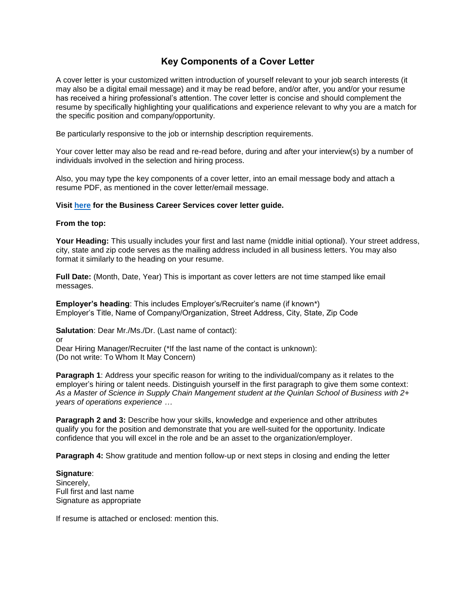# **Key Components of a Cover Letter**

A cover letter is your customized written introduction of yourself relevant to your job search interests (it may also be a digital email message) and it may be read before, and/or after, you and/or your resume has received a hiring professional's attention. The cover letter is concise and should complement the resume by specifically highlighting your qualifications and experience relevant to why you are a match for the specific position and company/opportunity.

Be particularly responsive to the job or internship description requirements.

Your cover letter may also be read and re-read before, during and after your interview(s) by a number of individuals involved in the selection and hiring process.

Also, you may type the key components of a cover letter, into an email message body and attach a resume PDF, as mentioned in the cover letter/email message.

#### **Visit [here](https://www.luc.edu/media/lucedu/quinlan-businesscareerservices/Cover%20Letter%20Guidelines.pdf) for the Business Career Services cover letter guide.**

#### **From the top:**

**Your Heading:** This usually includes your first and last name (middle initial optional). Your street address, city, state and zip code serves as the mailing address included in all business letters. You may also format it similarly to the heading on your resume.

**Full Date:** (Month, Date, Year) This is important as cover letters are not time stamped like email messages.

**Employer's heading**: This includes Employer's/Recruiter's name (if known\*) Employer's Title, Name of Company/Organization, Street Address, City, State, Zip Code

**Salutation**: Dear Mr./Ms./Dr. (Last name of contact):

or

Dear Hiring Manager/Recruiter (\*If the last name of the contact is unknown): (Do not write: To Whom It May Concern)

**Paragraph 1:** Address your specific reason for writing to the individual/company as it relates to the employer's hiring or talent needs. Distinguish yourself in the first paragraph to give them some context: *As a Master of Science in Supply Chain Mangement student at the Quinlan School of Business with 2+ years of operations experience …* 

**Paragraph 2 and 3:** Describe how your skills, knowledge and experience and other attributes qualify you for the position and demonstrate that you are well-suited for the opportunity. Indicate confidence that you will excel in the role and be an asset to the organization/employer.

**Paragraph 4:** Show gratitude and mention follow-up or next steps in closing and ending the letter

**Signature**: Sincerely, Full first and last name Signature as appropriate

If resume is attached or enclosed: mention this.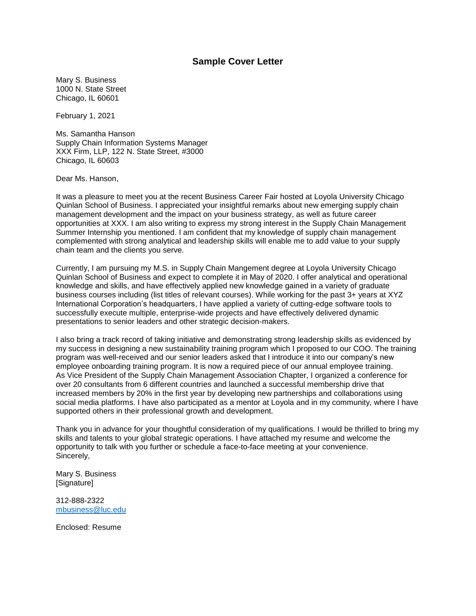### **Sample Cover Letter**

Mary S. Business 1000 N. State Street Chicago, IL 60601

February 1, 2021

Ms. Samantha Hanson Supply Chain Information Systems Manager XXX Firm, LLP, 122 N. State Street, #3000 Chicago, IL 60603

Dear Ms. Hanson,

It was a pleasure to meet you at the recent Business Career Fair hosted at Loyola University Chicago Quinlan School of Business. I appreciated your insightful remarks about new emerging supply chain management development and the impact on your business strategy, as well as future career opportunities at XXX. I am also writing to express my strong interest in the Supply Chain Management Summer Internship you mentioned. I am confident that my knowledge of supply chain management complemented with strong analytical and leadership skills will enable me to add value to your supply chain team and the clients you serve.

Currently, I am pursuing my M.S. in Supply Chain Mangement degree at Loyola University Chicago Quinlan School of Business and expect to complete it in May of 2020. I offer analytical and operational knowledge and skills, and have effectively applied new knowledge gained in a variety of graduate business courses including (list titles of relevant courses). While working for the past 3+ years at XYZ International Corporation's headquarters, I have applied a variety of cutting-edge software tools to successfully execute multiple, enterprise-wide projects and have effectively delivered dynamic presentations to senior leaders and other strategic decision-makers.

I also bring a track record of taking initiative and demonstrating strong leadership skills as evidenced by my success in designing a new sustainability training program which I proposed to our COO. The training program was well-received and our senior leaders asked that I introduce it into our company's new employee onboarding training program. It is now a required piece of our annual employee training. As Vice President of the Supply Chain Management Association Chapter, I organized a conference for over 20 consultants from 6 different countries and launched a successful membership drive that increased members by 20% in the first year by developing new partnerships and collaborations using social media platforms. I have also participated as a mentor at Loyola and in my community, where I have supported others in their professional growth and development.

Thank you in advance for your thoughtful consideration of my qualifications. I would be thrilled to bring my skills and talents to your global strategic operations. I have attached my resume and welcome the opportunity to talk with you further or schedule a face-to-face meeting at your convenience. Sincerely,

Mary S. Business [Signature]

312-888-2322 [mbusiness@luc.edu](mailto:mbusiness@luc.edu)

Enclosed: Resume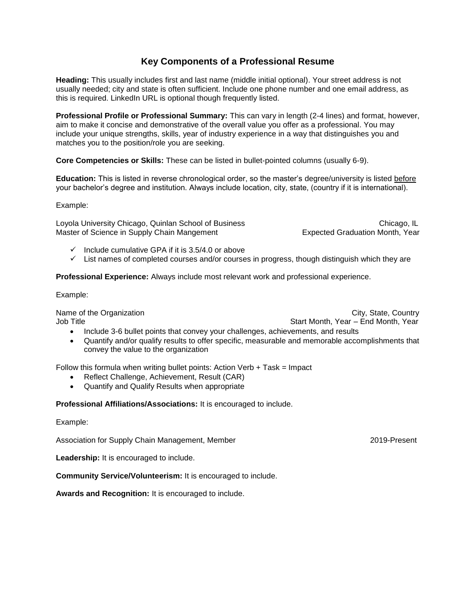# **Key Components of a Professional Resume**

**Heading:** This usually includes first and last name (middle initial optional). Your street address is not usually needed; city and state is often sufficient. Include one phone number and one email address, as this is required. LinkedIn URL is optional though frequently listed.

**Professional Profile or Professional Summary:** This can vary in length (2-4 lines) and format, however, aim to make it concise and demonstrative of the overall value you offer as a professional. You may include your unique strengths, skills, year of industry experience in a way that distinguishes you and matches you to the position/role you are seeking.

**Core Competencies or Skills:** These can be listed in bullet-pointed columns (usually 6-9).

**Education:** This is listed in reverse chronological order, so the master's degree/university is listed before your bachelor's degree and institution. Always include location, city, state, (country if it is international).

Example:

Loyola University Chicago, Quinlan School of Business Chicago, IL Chicago, IL Master of Science in Supply Chain Mangement **Expected Graduation Month, Year** 

- $\checkmark$  Include cumulative GPA if it is 3.5/4.0 or above
- $\checkmark$  List names of completed courses and/or courses in progress, though distinguish which they are

**Professional Experience:** Always include most relevant work and professional experience.

Example:

Job Title Start Month, Year – End Month, Year – End Month, Year – End Month, Year

Name of the Organization **City** State, Country City, State, Country

- Include 3-6 bullet points that convey your challenges, achievements, and results
- Quantify and/or qualify results to offer specific, measurable and memorable accomplishments that convey the value to the organization

Follow this formula when writing bullet points: Action Verb  $+$  Task = Impact

- Reflect Challenge, Achievement, Result (CAR)
- Quantify and Qualify Results when appropriate

**Professional Affiliations/Associations:** It is encouraged to include.

Example:

Association for Supply Chain Management, Member 2019-Present

**Leadership:** It is encouraged to include.

**Community Service/Volunteerism:** It is encouraged to include.

**Awards and Recognition:** It is encouraged to include.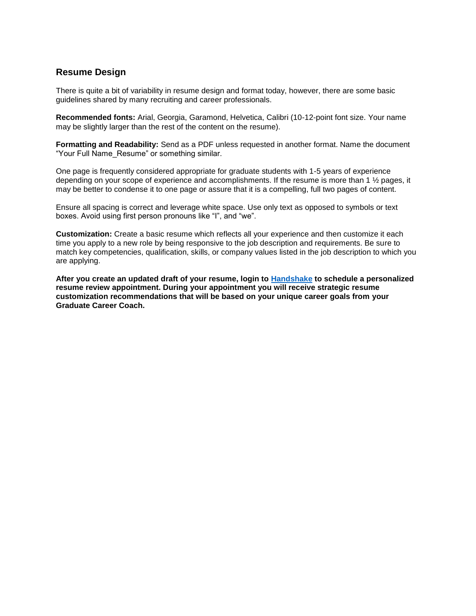### **Resume Design**

There is quite a bit of variability in resume design and format today, however, there are some basic guidelines shared by many recruiting and career professionals.

**Recommended fonts:** Arial, Georgia, Garamond, Helvetica, Calibri (10-12-point font size. Your name may be slightly larger than the rest of the content on the resume).

**Formatting and Readability:** Send as a PDF unless requested in another format. Name the document "Your Full Name\_Resume" or something similar.

One page is frequently considered appropriate for graduate students with 1-5 years of experience depending on your scope of experience and accomplishments. If the resume is more than 1 ½ pages, it may be better to condense it to one page or assure that it is a compelling, full two pages of content.

Ensure all spacing is correct and leverage white space. Use only text as opposed to symbols or text boxes. Avoid using first person pronouns like "I", and "we".

**Customization:** Create a basic resume which reflects all your experience and then customize it each time you apply to a new role by being responsive to the job description and requirements. Be sure to match key competencies, qualification, skills, or company values listed in the job description to which you are applying.

**After you create an updated draft of your resume, login to [Handshake](https://luc.joinhandshake.com/) to schedule a personalized resume review appointment. During your appointment you will receive strategic resume customization recommendations that will be based on your unique career goals from your Graduate Career Coach.**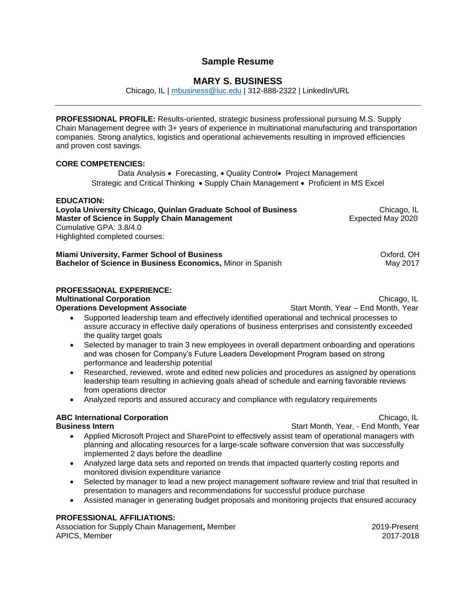### **Sample Resume**

### **MARY S. BUSINESS**

Chicago, IL | [mbusiness@luc.edu](mailto:mbusiness@luc.edu) | 312-888-2322 | LinkedIn/URL

**PROFESSIONAL PROFILE:** Results-oriented, strategic business professional pursuing M.S. Supply Chain Management degree with 3+ years of experience in multinational manufacturing and transportation companies. Strong analytics, logistics and operational achievements resulting in improved efficiencies and proven cost savings.

#### **CORE COMPETENCIES:**

Data Analysis • Forecasting, • Quality Control• Project Management Strategic and Critical Thinking • Supply Chain Management • Proficient in MS Excel

#### **EDUCATION:**

**Loyola University Chicago, Quinlan Graduate School of Business Chicago, IL<br>Master of Science in Supply Chain Management Expected May 2020 Master of Science in Supply Chain Management** Cumulative GPA: 3.8/4.0 Highlighted completed courses:

**Miami University, Farmer School of Business <b>School School School School** Cxford, OH **Bachelor of Science in Business Economics, Minor in Spanish May 2017** May 2017

#### **PROFESSIONAL EXPERIENCE:**

**Multinational Corporation Chicago, IL Chicago, IL Chicago, IL Chicago, IL Chicago, IL** 

- **Operations Development Associate Start Month, Year End Month, Year End Month, Year**  Supported leadership team and effectively identified operational and technical processes to assure accuracy in effective daily operations of business enterprises and consistently exceeded the quality target goals
	- Selected by manager to train 3 new employees in overall department onboarding and operations and was chosen for Company's Future Leaders Development Program based on strong performance and leadership potential
	- Researched, reviewed, wrote and edited new policies and procedures as assigned by operations leadership team resulting in achieving goals ahead of schedule and earning favorable reviews from operations director
	- Analyzed reports and assured accuracy and compliance with regulatory requirements

### **ABC International Corporation** Chicago, IL

- **Business Intern Start Month, Year, End Month, Year** 
	- Applied Microsoft Project and SharePoint to effectively assist team of operational managers with planning and allocating resources for a large-scale software conversion that was successfully implemented 2 days before the deadline
	- Analyzed large data sets and reported on trends that impacted quarterly costing reports and monitored division expenditure variance
	- Selected by manager to lead a new project management software review and trial that resulted in presentation to managers and recommendations for successful produce purchase
	- Assisted manager in generating budget proposals and monitoring projects that ensured accuracy

### **PROFESSIONAL AFFILIATIONS:**

Association for Supply Chain Management**,** Member 2019-Present APICS, Member 2017-2018